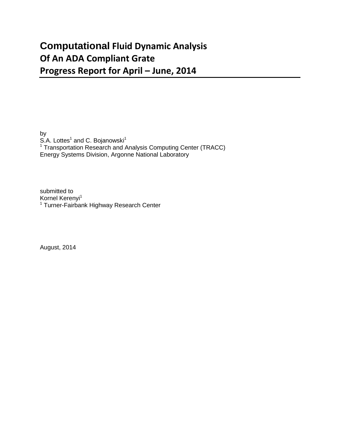## **Computational Fluid Dynamic Analysis Of An ADA Compliant Grate Progress Report for April – June, 2014**

by S.A. Lottes<sup>1</sup> and C. Bojanowski<sup>1</sup>  $1$  Transportation Research and Analysis Computing Center (TRACC) Energy Systems Division, Argonne National Laboratory

submitted to Kornel Kerenyi<sup>1</sup> <sup>1</sup> Turner-Fairbank Highway Research Center

August, 2014